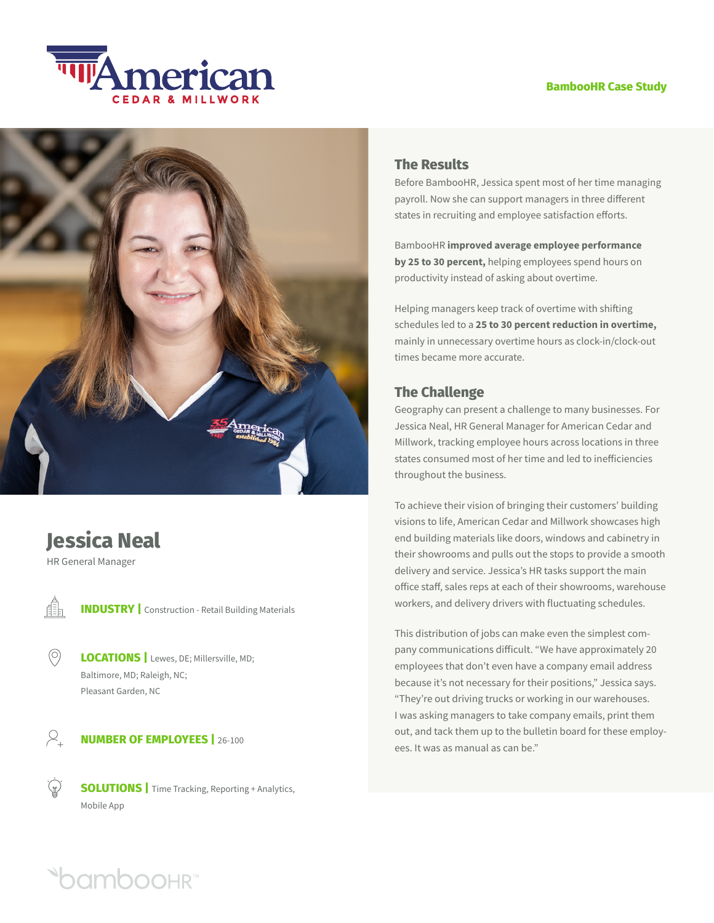## **BambooHR Case Study**





# **Jessica Neal**

HR General Manager

Æ

 $\circledcirc$ 

**INDUSTRY** | Construction - Retail Building Materials

**LOCATIONS** | Lewes, DE; Millersville, MD; Baltimore, MD; Raleigh, NC; Pleasant Garden, NC

 $\varphi$ **NUMBER OF EMPLOYEES |** 26-100

> **SOLUTIONS** | Time Tracking, Reporting + Analytics, Mobile App

# **The Results**

Before BambooHR, Jessica spent most of her time managing payroll. Now she can support managers in three different states in recruiting and employee satisfaction efforts.

BambooHR **improved average employee performance by 25 to 30 percent,** helping employees spend hours on productivity instead of asking about overtime.

Helping managers keep track of overtime with shifting schedules led to a **25 to 30 percent reduction in overtime,** mainly in unnecessary overtime hours as clock-in/clock-out times became more accurate.

# **The Challenge**

Geography can present a challenge to many businesses. For Jessica Neal, HR General Manager for American Cedar and Millwork, tracking employee hours across locations in three states consumed most of her time and led to inefficiencies throughout the business.

To achieve their vision of bringing their customers' building visions to life, American Cedar and Millwork showcases high end building materials like doors, windows and cabinetry in their showrooms and pulls out the stops to provide a smooth delivery and service. Jessica's HR tasks support the main office staff, sales reps at each of their showrooms, warehouse workers, and delivery drivers with fluctuating schedules.

This distribution of jobs can make even the simplest company communications difficult. "We have approximately 20 employees that don't even have a company email address because it's not necessary for their positions," Jessica says. "They're out driving trucks or working in our warehouses. I was asking managers to take company emails, print them out, and tack them up to the bulletin board for these employees. It was as manual as can be."

**Oamboohr**